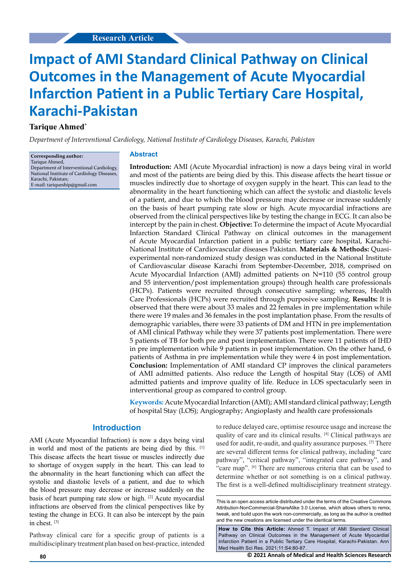# **Impact of AMI Standard Clinical Pathway on Clinical Outcomes in the Management of Acute Myocardial Infarction Patient in a Public Tertiary Care Hospital, Karachi-Pakistan**

## **Tarique Ahmed\***

*Department of Interventional Cardiology, National Institute of Cardiology Diseases, Karachi, Pakistan*

**Corresponding author:** Tarique Ahmed, Department of Interventional Cardiology, National Institute of Cardiology Diseases, Karachi, Pakistan; E-mail: tariqueship@gmail.com

#### **Abstract**

**Introduction:** AMI (Acute Myocardial infraction) is now a days being viral in world and most of the patients are being died by this. This disease affects the heart tissue or muscles indirectly due to shortage of oxygen supply in the heart. This can lead to the abnormality in the heart functioning which can affect the systolic and diastolic levels of a patient, and due to which the blood pressure may decrease or increase suddenly on the basis of heart pumping rate slow or high. Acute myocardial infractions are observed from the clinical perspectives like by testing the change in ECG. It can also be intercept by the pain in chest. **Objective:** To determine the impact of Acute Myocardial Infarction Standard Clinical Pathway on clinical outcomes in the management of Acute Myocardial Infarction patient in a public tertiary care hospital, Karachi-National Institute of Cardiovascular diseases Pakistan. **Materials & Methods:** Quasiexperimental non-randomized study design was conducted in the National Institute of Cardiovascular disease Karachi from September-December, 2018, comprised on Acute Myocardial Infarction (AMI) admitted patients on N=110 (55 control group and 55 intervention/post implementation groups) through health care professionals (HCPs). Patients were recruited through consecutive sampling; whereas, Health Care Professionals (HCPs) were recruited through purposive sampling. **Results:** It is observed that there were about 33 males and 22 females in pre implementation while there were 19 males and 36 females in the post implantation phase. From the results of demographic variables, there were 33 patients of DM and HTN in pre implementation of AMI clinical Pathway while they were 37 patients post implementation. There were 5 patients of TB for both pre and post implementation. There were 11 patients of IHD in pre implementation while 9 patients in post implementation. On the other hand, 6 patients of Asthma in pre implementation while they were 4 in post implementation. **Conclusion:** Implementation of AMI standard CP improves the clinical parameters of AMI admitted patients. Also reduce the Length of hospital Stay (LOS) of AMI admitted patients and improve quality of life. Reduce in LOS spectacularly seen in interventional group as compared to control group.

**Keywords:** Acute Myocardial Infarction (AMI); AMI standard clinical pathway; Length of hospital Stay (LOS); Angiography; Angioplasty and health care professionals

## **Introduction**

AMI (Acute Myocardial Infraction) is now a days being viral in world and most of the patients are being died by this. [1] This disease affects the heart tissue or muscles indirectly due to shortage of oxygen supply in the heart. This can lead to the abnormality in the heart functioning which can affect the systolic and diastolic levels of a patient, and due to which the blood pressure may decrease or increase suddenly on the basis of heart pumping rate slow or high. [2] Acute myocardial infractions are observed from the clinical perspectives like by testing the change in ECG. It can also be intercept by the pain in chest. [3]

Pathway clinical care for a specific group of patients is a multidisciplinary treatment plan based on best-practice, intended

to reduce delayed care, optimise resource usage and increase the quality of care and its clinical results. [4] Clinical pathways are used for audit, re-audit, and quality assurance purposes. [5] There are several different terms for clinical pathway, including "care pathway", "critical pathway", "integrated care pathway", and "care map". [6] There are numerous criteria that can be used to determine whether or not something is on a clinical pathway. The first is a well-defined multidisciplinary treatment strategy.

This is an open access article distributed under the terms of the Creative Commons Attribution‑NonCommercial‑ShareAlike 3.0 License, which allows others to remix, tweak, and build upon the work non‑commercially, as long as the author is credited and the new creations are licensed under the identical terms.

**How to Cite this Article:** Ahmed T. Impact of AMI Standard Clinical Pathway on Clinical Outcomes in the Management of Acute Myocardial Infarction Patient in a Public Tertiary Care Hospital, Karachi-Pakistan. Ann Med Health Sci Res. 2021;11:S4:80-87.

**80 © 2021 Annals of Medical and Health Sciences Research**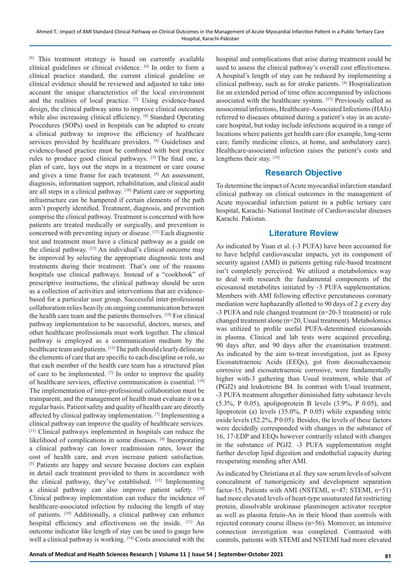[6] This treatment strategy is based on currently available clinical guidelines or clinical evidence. [6] In order to form a clinical practice standard, the current clinical guideline or clinical evidence should be reviewed and adjusted to take into account the unique characteristics of the local environment and the realities of local practice. [7] Using evidence-based design, the clinical pathway aims to improve clinical outcomes while also increasing clinical efficiency. [8] Standard Operating Procedures (SOPs) used in hospitals can be adapted to create a clinical pathway to improve the efficiency of healthcare services provided by healthcare providers. <sup>[9]</sup> Guidelines and evidence-based practice must be combined with best practice rules to produce good clinical pathways. [3] The final one, a plan of care, lays out the steps in a treatment or care course and gives a time frame for each treatment. [6] An assessment, diagnosis, information support, rehabilitation, and clinical audit are all steps in a clinical pathway. [10] Patient care or supporting infrastructure can be hampered if certain elements of the path aren't properly identified. Treatment, diagnosis, and prevention comprise the clinical pathway. Treatment is concerned with how patients are treated medically or surgically, and prevention is concerned with preventing injury or disease. [11] Each diagnostic test and treatment must have a clinical pathway as a guide on the clinical pathway. [12] An individual's clinical outcome may be improved by selecting the appropriate diagnostic tests and treatments during their treatment. That's one of the reasons hospitals use clinical pathways. Instead of a "cookbook" of prescriptive instructions, the clinical pathway should be seen as a collection of activities and interventions that are evidencebased for a particular user group. Successful inter-professional collaboration relies heavily on ongoing communication between the health care team and the patients themselves. [10] For clinical pathway implementation to be successful, doctors, nurses, and other healthcare professionals must work together. The clinical pathway is employed as a communication medium by the healthcare team and patients. [12] The path should clearly delineate the elements of care that are specific to each discipline or role, so that each member of the health care team has a structured plan of care to be implemented. [7] In order to improve the quality of healthcare services, effective communication is essential. [10] The implementation of inter-professional collaboration must be transparent, and the management of health must evaluate it on a regular basis. Patient safety and quality of health care are directly affected by clinical pathway implementation. [7] Implementing a clinical pathway can improve the quality of healthcare services. [11] Clinical pathways implemented in hospitals can reduce the likelihood of complications in some diseases. [4] Incorporating a clinical pathway can lower readmission rates, lower the cost of health care, and even increase patient satisfaction. [5] Patients are happy and secure because doctors can explain in detail each treatment provided to them in accordance with the clinical pathway, they've established. [13] Implementing a clinical pathway can also improve patient safety. [10] Clinical pathway implementation can reduce the incidence of healthcare-associated infection by reducing the length of stay of patients. [10] Additionally, a clinical pathway can enhance hospital efficiency and effectiveness on the inside. [11] An outcome indicator like length of stay can be used to gauge how well a clinical pathway is working. [14] Costs associated with the

hospital and complications that arise during treatment could be used to assess the clinical pathway's overall cost effectiveness. A hospital's length of stay can be reduced by implementing a clinical pathway, such as for stroke patients. [8] Hospitalization for an extended period of time often accompanied by infections associated with the healthcare system. [15] Previously called as nosocomial infections, Healthcare-Associated Infections (HAIs) referred to diseases obtained during a patient's stay in an acutecare hospital, but today include infections acquired in a range of locations where patients get health care (for example, long-term care, family medicine clinics, at home, and ambulatory care). Healthcare-associated infection raises the patient's costs and lengthens their stay. [16]

## **Research Objective**

To determine the impact of Acute myocardial infarction standard clinical pathway on clinical outcomes in the management of Acute myocardial infarction patient in a public tertiary care hospital, Karachi- National Institute of Cardiovascular diseases Karachi. Pakistan.

## **Literature Review**

As indicated by Yuan et al. (-3 PUFA) have been accounted for to have helpful cardiovascular impacts, yet its component of security against (AMI) in patients getting rule-based treatment isn't completely perceived. We utilized a metabolomics way to deal with research the fundamental components of the eicosanoid metabolites initiated by -3 PUFA supplementation. Members with AMI following effective percutaneous coronary mediation were haphazardly allotted to 90 days of 2 g every day -3 PUFA and rule changed treatment (n=20-3 treatment) or rule changed treatment alone (n=20, Usual treatment). Metabolomics was utilized to profile useful PUFA-determined eicosanoids in plasma. Clinical and lab tests were acquired preceding, 90 days after, and 90 days after the examination treatment. As indicated by the aim to-treat investigation, just as Epoxy Eicosatetraenoic Acids (EEQs), got from docosahexaenoic corrosive and eicosatetraenoic corrosive, were fundamentally higher with-3 gathering than Usual treatment, while that of (PGJ2) and leukotriene B4. In contrast with Usual treatment, -3 PUFA treatment altogether diminished fatty substance levels (5.3%, P 0.05), apolipoprotein B levels (3.9%, P 0.05), and lipoprotein (a) levels (35.0%, P 0.05) while expanding nitric oxide levels (52.2%, P 0.05). Besides, the levels of these factors were decidedly corresponded with changes in the substance of 16, 17-EDP and EEQs however contrarily related with changes in the substance of PGJ2. -3 PUFA supplementation might further develop lipid digestion and endothelial capacity during recuperating mending after AMI.

As indicated by Christiana et al. they saw serum levels of solvent concealment of tumorigenicity and development separation factor-15, Patients with AMI (NSTEMI, n=47; STEMI, n=51) had more elevated levels of heart-type unsaturated fat restricting protein, dissolvable urokinase plasminogen activator receptor as well as plasma fetuin-An in their blood than controls with rejected coronary course illness (n=56). Moreover, an intensive connection investigation was completed. Contrasted with controls, patients with STEMI and NSTEMI had more elevated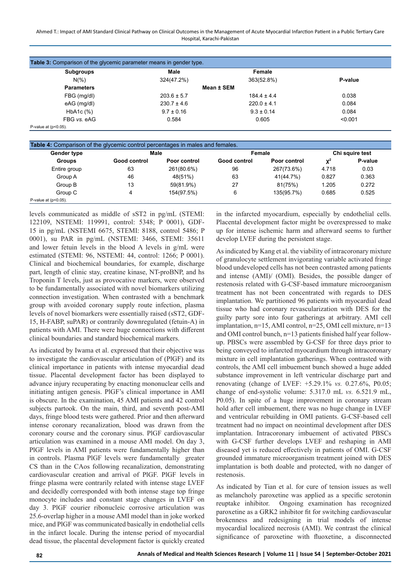#### Ahmed T.: Impact of AMI Standard Clinical Pathway on Clinical Outcomes in the Management of Acute Myocardial Infarction Patient in a Public Tertiary Care Hospital, Karachi-Pakistan

| Subgroups         | Male            | Female          |         |
|-------------------|-----------------|-----------------|---------|
| $N(\%)$           | 324(47.2%)      | 363(52.8%)      | P-value |
| <b>Parameters</b> |                 | Mean ± SEM      |         |
| FBG (mg/dl)       | $203.6 \pm 5.7$ | $184.4 \pm 4.4$ | 0.038   |
| eAG (mg/dl)       | $230.7 \pm 4.6$ | $220.0 \pm 4.1$ | 0.084   |
| HbA1c (%)         | $9.7 \pm 0.16$  | $9.3 \pm 0.14$  | 0.084   |
| FBG vs. eAG       | 0.584           | 0.605           | < 0.001 |

| P-value at $(p<0.05)$ . |  |
|-------------------------|--|
|                         |  |

| <b>Gender type</b> | Male         |              | Female       |              |                | Chi squire test |
|--------------------|--------------|--------------|--------------|--------------|----------------|-----------------|
| <b>Groups</b>      | Good control | Poor control | Good control | Poor control | $\mathbf{v}^2$ | P-value         |
| Entire group       | 63           | 261(80.6%)   | 96           | 267(73.6%)   | 4.718          | 0.03            |
| Group A            | 46           | 48(51%)      | 63           | 41(44.7%)    | 0.827          | 0.363           |
| Group B            | 13           | 59(81.9%)    | 27           | 81(75%)      | 1.205          | 0.272           |
| Group C            | 4            | 154(97.5%)   | 6            | 135(95.7%)   | 0.685          | 0.525           |

levels communicated as middle of sST2 in pg/mL (STEMI: 122109, NSTEMI: 119991, control: 5348; P 0001), GDF-15 in pg/mL (NSTEMI 6675, STEMI: 8188, control 5486; P 0001), su PAR in pg/mL (NSTEMI: 3466, STEMI: 35611 and lower fetuin levels in the blood A levels in g/mL were estimated (STEMI: 96, NSTEMI: 44, control: 1266; P 0001). Clinical and biochemical boundaries, for example, discharge part, length of clinic stay, creatine kinase, NT-proBNP, and hs Troponin T levels, just as provocative markers, were observed to be fundamentally associated with novel biomarkers utilizing connection investigation. When contrasted with a benchmark group with avoided coronary supply route infection, plasma levels of novel biomarkers were essentially raised (sST2, GDF-15, H-FABP, suPAR) or contrarily downregulated (fetuin-A) in patients with AMI. There were huge connections with different clinical boundaries and standard biochemical markers.

As indicated by Iwama et al. expressed that their objective was to investigate the cardiovascular articulation of (PlGF) and its clinical importance in patients with intense myocardial dead tissue. Placental development factor has been displayed to advance injury recuperating by enacting mononuclear cells and initiating antigen genesis. PlGF's clinical importance in AMI is obscure. In the examination, 45 AMI patients and 42 control subjects partook. On the main, third, and seventh post-AMI days, fringe blood tests were gathered. Prior and then afterward intense coronary recanalization, blood was drawn from the coronary course and the coronary sinus. PlGF cardiovascular articulation was examined in a mouse AMI model. On day 3, PlGF levels in AMI patients were fundamentally higher than in controls. Plasma PlGF levels were fundamentally greater CS than in the CAos following recanalization, demonstrating cardiovascular creation and arrival of PlGF. PlGF levels in fringe plasma were contrarily related with intense stage LVEF and decidedly corresponded with both intense stage top fringe monocyte includes and constant stage changes in LVEF on day 3. PlGF courier ribonucleic corrosive articulation was 25.6-overlap higher in a mouse AMI model than in joke worked mice, and PlGF was communicated basically in endothelial cells in the infarct locale. During the intense period of myocardial dead tissue, the placental development factor is quickly created

in the infarcted myocardium, especially by endothelial cells. Placental development factor might be overexpressed to make up for intense ischemic harm and afterward seems to further develop LVEF during the persistent stage.

As indicated by Kang et al. the viability of intracoronary mixture of granulocyte settlement invigorating variable activated fringe blood undeveloped cells has not been contrasted among patients and intense (AMI)/ (OMI). Besides, the possible danger of restenosis related with G-CSF-based immature microorganism treatment has not been concentrated with regards to DES implantation. We partitioned 96 patients with myocardial dead tissue who had coronary revascularization with DES for the guilty party sore into four gatherings at arbitrary. AMI cell implantation, n=15, AMI control, n=25, OMI cell mixture, n=13 and OMI control bunch, n=13 patients finished half year followup. PBSCs were assembled by G-CSF for three days prior to being conveyed to infarcted myocardium through intracoronary mixture in cell implantation gatherings. When contrasted with controls, the AMI cell imbuement bunch showed a huge added substance improvement in left ventricular discharge part and renovating (change of LVEF: +5.29.1% *vs.* 0.27.6%, P0.05; change of end-systolic volume: 5.317.0 mL *vs.* 6.521.9 mL, P0.05). In spite of a huge improvement in coronary stream hold after cell imbuement, there was no huge change in LVEF and ventricular rebuilding in OMI patients. G-CSF-based cell treatment had no impact on neointimal development after DES implantation. Intracoronary imbuement of activated PBSCs with G-CSF further develops LVEF and reshaping in AMI diseased yet is reduced effectively in patients of OMI. G-CSF grounded immature microorganism treatment joined with DES implantation is both doable and protected, with no danger of restenosis.

As indicated by Tian et al. for cure of tension issues as well as melancholy paroxetine was applied as a specific serotonin reuptake inhibitor. Ongoing examination has recognized paroxetine as a GRK2 inhibitor fit for switching cardiovascular brokenness and redesigning in trial models of intense myocardial localized necrosis (AMI). We contrast the clinical significance of paroxetine with fluoxetine, a disconnected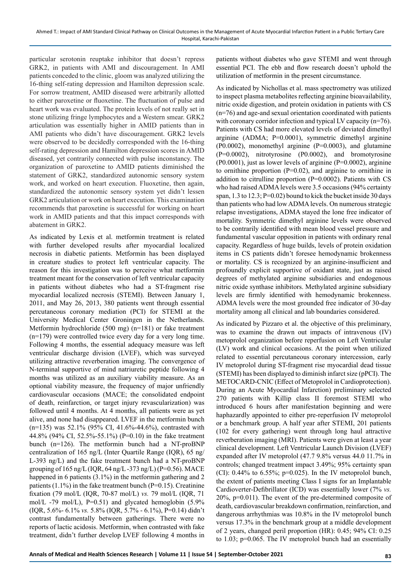particular serotonin reuptake inhibitor that doesn't repress GRK2, in patients with AMI and discouragement. In AMI patients conceded to the clinic, gloom was analyzed utilizing the 16-thing self-rating depression and Hamilton depression scale. For sorrow treatment, AMID diseased were arbitrarily allotted to either paroxetine or fluoxetine. The fluctuation of pulse and heart work was evaluated. The protein levels of not really set in stone utilizing fringe lymphocytes and a Western smear. GRK2 articulation was essentially higher in AMID patients than in AMI patients who didn't have discouragement. GRK2 levels were observed to be decidedly corresponded with the 16-thing self-rating depression and Hamilton depression scores in AMID diseased, yet contrarily connected with pulse inconstancy. The organization of paroxetine to AMID patients diminished the statement of GRK2, standardized autonomic sensory system work, and worked on heart execution. Fluoxetine, then again, standardized the autonomic sensory system yet didn't lessen GRK2 articulation or work on heart execution. This examination recommends that paroxetine is successful for working on heart work in AMID patients and that this impact corresponds with abatement in GRK2.

As indicated by Lexis et al. metformin treatment is related with further developed results after myocardial localized necrosis in diabetic patients. Metformin has been displayed in creature studies to protect left ventricular capacity. The reason for this investigation was to perceive what metformin treatment meant for the conservation of left ventricular capacity in patients without diabetes who had a ST-fragment rise myocardial localized necrosis (STEMI). Between January 1, 2011, and May 26, 2013, 380 patients went through essential percutaneous coronary mediation (PCI) for STEMI at the University Medical Center Groningen in the Netherlands. Metformin hydrochloride (500 mg) (n=181) or fake treatment (n=179) were controlled twice every day for a very long time. Following 4 months, the essential adequacy measure was left ventricular discharge division (LVEF), which was surveyed utilizing attractive reverberation imaging. The convergence of N-terminal supportive of mind natriuretic peptide following 4 months was utilized as an auxiliary viability measure. As an optional viability measure, the frequency of major unfriendly cardiovascular occasions (MACE; the consolidated endpoint of death, reinfarction, or target injury revascularization) was followed until 4 months. At 4 months, all patients were as yet alive, and none had disappeared. LVEF in the metformin bunch  $(n=135)$  was 52.1% (95% CI, 41.6%-44.6%), contrasted with 44.8% (94% CI, 52.5%-55.1%) (P=0.10) in the fake treatment bunch (n=126). The metformin bunch had a NT-proBNP centralization of 165 ng/L (Inter Quartile Range (IQR), 65 ng/ L-393 ng/L) and the fake treatment bunch had a NT-proBNP grouping of 165 ng/L (IQR, 64 ng/L -373 ng/L) (P=0.56). MACE happened in 6 patients (3.1%) in the metformin gathering and 2 patients  $(1.1\%)$  in the fake treatment bunch (P=0.15). Creatinine fixation (79 mol/L (IQR, 70-87 mol/L) *vs.* 79 mol/L (IQR, 71 mol/L -79 mol/L),  $P=0.51$  and glycated hemoglobin (5.9%) (IQR, 5.6%- 6.1% *vs.* 5.8% (IQR, 5.7% - 6.1%), P=0.14) didn't contrast fundamentally between gatherings. There were no reports of lactic acidosis. Metformin, when contrasted with fake treatment, didn't further develop LVEF following 4 months in

patients without diabetes who gave STEMI and went through essential PCI. The ebb and flow research doesn't uphold the utilization of metformin in the present circumstance.

As indicated by Nichollas et al. mass spectrometry was utilized to inspect plasma metabolites reflecting arginine bioavailability, nitric oxide digestion, and protein oxidation in patients with CS (n=76) and age-and sexual orientation coordinated with patients with coronary corridor infection and typical LV capacity (n=76). Patients with CS had more elevated levels of deviated dimethyl arginine (ADMA; P=0.0001), symmetric dimethyl arginine (P0.0002), monomethyl arginine (P=0.0003), and glutamine (P=0.0002), nitrotyrosine (P0.0002), and bromotyrosine (P0.0001), just as lower levels of arginine (P=0.0002), arginine to ornithine proportion (P=0.02), and arginine to ornithine in addition to citrulline proportion  $(P=0.0002)$ . Patients with CS who had raised ADMA levels were 3.5 occasions (94% certainty span, 1.3 to 12.3; P=0.02) bound to kick the bucket inside 30 days than patients who had low ADMA levels. On numerous strategic relapse investigations, ADMA stayed the lone free indicator of mortality. Symmetric dimethyl arginine levels were observed to be contrarily identified with mean blood vessel pressure and fundamental vascular opposition in patients with ordinary renal capacity. Regardless of huge builds, levels of protein oxidation items in CS patients didn't foresee hemodynamic brokenness or mortality. CS is recognized by an arginine-insufficient and profoundly explicit supportive of oxidant state, just as raised degrees of methylated arginine subsidiaries and endogenous nitric oxide synthase inhibitors. Methylated arginine subsidiary levels are firmly identified with hemodynamic brokenness. ADMA levels were the most grounded free indicator of 30-day mortality among all clinical and lab boundaries considered.

As indicated by Pizzaro et al. the objective of this preliminary, was to examine the drawn out impacts of intravenous (IV) metoprolol organization before reperfusion on Left Ventricular (LV) work and clinical occasions. At the point when utilized related to essential percutaneous coronary intercession, early IV metoprolol during ST-fragment rise myocardial dead tissue (STEMI) has been displayed to diminish infarct size (pPCI). The METOCARD-CNIC (Effect of Metoprolol in Cardioprotection). During an Acute Myocardial Infarction) preliminary selected 270 patients with Killip class II foremost STEMI who introduced 6 hours after manifestation beginning and were haphazardly appointed to either pre-reperfusion IV metoprolol or a benchmark group. A half year after STEMI, 201 patients (102 for every gathering) went through long haul attractive reverberation imaging (MRI). Patients were given at least a year clinical development. Left Ventricular Launch Division (LVEF) expanded after IV metoprolol (47.7 9.8% versus 44.0 11.7% in controls; changed treatment impact 3.49%; 95% certainty span (CI):  $0.44\%$  to  $6.55\%$ ;  $p=0.025$ ). In the IV metoprolol bunch, the extent of patients meeting Class I signs for an Implantable Cardioverter-Defibrillator (ICD) was essentially lower (7% *vs.* 20%, p=0.011). The event of the pre-determined composite of death, cardiovascular breakdown confirmation, reinfarction, and dangerous arrhythmias was 10.8% in the IV metoprolol bunch versus 17.3% in the benchmark group at a middle development of 2 years, changed peril proportion (HR): 0.45; 94% CI: 0.25 to 1.03; p=0.065. The IV metoprolol bunch had an essentially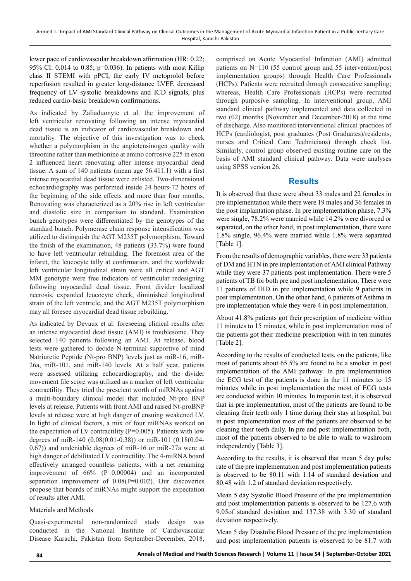lower pace of cardiovascular breakdown affirmation (HR: 0.22; 95% CI: 0.014 to 0.85;  $p=0.036$ ). In patients with most Killip class II STEMI with pPCI, the early IV metoprolol before reperfusion resulted in greater long-distance LVEF, decreased frequency of LV systolic breakdowns and ICD signals, plus reduced cardio-basic breakdown confirmations.

As indicated by Zaliaduonyte et al. the improvement of left ventricular renovating following an intense myocardial dead tissue is an indicator of cardiovascular breakdown and mortality. The objective of this investigation was to check whether a polymorphism in the angiotensinogen quality with threonine rather than methionine at amino corrosive 225 in exon 2 influenced heart renovating after intense myocardial dead tissue. A sum of 140 patients (mean age 56.411.1) with a first intense myocardial dead tissue were enlisted. Two-dimensional echocardiography was performed inside 24 hours-72 hours of the beginning of the side effects and more than four months. Renovating was characterized as a 20% rise in left ventricular and diastolic size in comparison to standard. Examination bunch genotypes were differentiated by the genotypes of the standard bunch. Polymerase chain response intensification was utilized to distinguish the AGT M235T polymorphism. Toward the finish of the examination, 48 patients (33.7%) were found to have left ventricular rebuilding. The foremost area of the infarct, the leucocyte tally at confirmation, and the worldwide left ventricular longitudinal strain were all critical and AGT MM genotype were free indicators of ventricular redesigning following myocardial dead tissue. Front divider localized necrosis, expanded leucocyte check, diminished longitudinal strain of the left ventricle, and the AGT M235T polymorphism may all foresee myocardial dead tissue rebuilding.

As indicated by Devaux et al. foreseeing clinical results after an intense myocardial dead tissue (AMI) is troublesome. They selected 140 patients following an AMI. At release, blood tests were gathered to decide N-terminal supportive of mind Natriuretic Peptide (Nt-pro BNP) levels just as miR-16, miR-26a, miR-101, and miR-140 levels. At a half year, patients were assessed utilizing echocardiography, and the divider movement file score was utilized as a marker of left ventricular contractility. They tried the prescient worth of miRNAs against a multi-boundary clinical model that included Nt-pro BNP levels at release. Patients with front AMI and raised Nt-proBNP levels at release were at high danger of ensuing weakened LV. In light of clinical factors, a mix of four miRNAs worked on the expectation of LV contractility ( $P=0.005$ ). Patients with low degrees of miR-140 (0.08(0.01-0.38)) or miR-101 (0.18(0.04- 0.67)) and undeniable degrees of miR-16 or miR-27a were at high danger of debilitated LV contractility. The 4-miRNA board effectively arranged countless patients, with a net renaming improvement of 66% (P=0.00004) and an incorporated separation improvement of 0.08(P=0.002). Our discoveries propose that boards of miRNAs might support the expectation of results after AMI.

### Materials and Methods

Quasi-experimental non-randomized study design was conducted in the National Institute of Cardiovascular Disease Karachi, Pakistan from September-December, 2018,

comprised on Acute Myocardial Infarction (AMI) admitted patients on N=110 (55 control group and 55 intervention/post implementation groups) through Health Care Professionals (HCPs). Patients were recruited through consecutive sampling; whereas, Health Care Professionals (HCPs) were recruited through purposive sampling. In interventional group, AMI standard clinical pathway implemented and data collected in two (02) months (November and December-2018) at the time of discharge. Also monitored interventional clinical practices of HCPs (cardiologist, post graduates (Post Graduates)/residents, nurses and Critical Care Technicians) through check list. Similarly, control group observed existing routine care on the basis of AMI standard clinical pathway. Data were analyses using SPSS version 26.

# **Results**

It is observed that there were about 33 males and 22 females in pre implementation while there were 19 males and 36 females in the post implantation phase. In pre implementation phase, 7.3% were single, 78.2% were married while 14.2% were divorced or separated, on the other hand, in post implementation, there were 1.8% single, 96.4% were married while 1.8% were separated [Table 1].

From the results of demographic variables, there were 33 patients of DM and HTN in pre implementation of AMI clinical Pathway while they were 37 patients post implementation. There were 5 patients of TB for both pre and post implementation. There were 11 patients of IHD in pre implementation while 9 patients in post implementation. On the other hand, 6 patients of Asthma in pre implementation while they were 4 in post implementation.

About 41.8% patients got their prescription of medicine within 11 minutes to 15 minutes, while in post implementation most of the patients got their medicine prescription with in ten minutes [Table 2].

According to the results of conducted tests, on the patients, like most of patients about 65.5% are found to be a smoker in post implementation of the AMI pathway. In pre implementation the ECG test of the patients is done in the 11 minutes to 15 minutes while in post implementation the most of ECG tests are conducted within 10 minutes. In troponin test, it is observed that in pre implementation, most of the patients are found to be cleaning their teeth only 1 time during their stay at hospital, but in post implementation most of the patients are observed to be cleaning their teeth daily. In pre and post implementation both, most of the patients observed to be able to walk to washroom independently [Table 3].

According to the results, it is observed that mean 5 day pulse rate of the pre implementation and post implementation patients is observed to be 80.11 with 1.14 of standard deviation and 80.48 with 1.2 of standard deviation respectively.

Mean 5 day Systolic Blood Pressure of the pre implementation and post implementation patients is observed to be 127.6 with 9.05of standard deviation and 137.38 with 3.30 of standard deviation respectively.

Mean 5 day Diastolic Blood Pressure of the pre implementation and post implementation patients is observed to be 81.7 with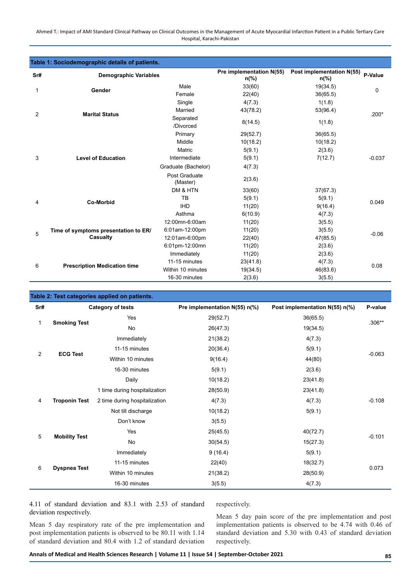Ahmed T.: Impact of AMI Standard Clinical Pathway on Clinical Outcomes in the Management of Acute Myocardial Infarction Patient in a Public Tertiary Care Hospital, Karachi-Pakistan

| Table 1: Sociodemographic details of patients. |                                      |                           |                                            |                                             |             |  |
|------------------------------------------------|--------------------------------------|---------------------------|--------------------------------------------|---------------------------------------------|-------------|--|
| Sr#                                            | <b>Demographic Variables</b>         |                           | Pre implementation N(55)<br>$n\frac{6}{6}$ | Post implementation N(55)<br>$n\frac{6}{6}$ | P-Value     |  |
| 1                                              | Gender                               | Male                      | 33(60)                                     | 19(34.5)                                    | $\mathbf 0$ |  |
|                                                |                                      | Female                    | 22(40)                                     | 36(65.5)                                    |             |  |
|                                                |                                      | Single                    | 4(7.3)                                     | 1(1.8)                                      |             |  |
| 2                                              | <b>Marital Status</b>                | Married                   | 43(78.2)                                   | 53(96.4)                                    | $.200*$     |  |
|                                                |                                      | Separated<br>/Divorced    | 8(14.5)                                    | 1(1.8)                                      |             |  |
|                                                |                                      | Primary                   | 29(52.7)                                   | 36(65.5)                                    |             |  |
|                                                |                                      | Middle                    | 10(18.2)                                   | 10(18.2)                                    |             |  |
|                                                |                                      | Matric                    | 5(9.1)                                     | 2(3.6)                                      |             |  |
| 3                                              | <b>Level of Education</b>            | Intermediate              | 5(9.1)                                     | 7(12.7)                                     | $-0.037$    |  |
|                                                |                                      | Graduate (Bachelor)       | 4(7.3)                                     |                                             |             |  |
|                                                |                                      | Post Graduate<br>(Master) | 2(3.6)                                     |                                             |             |  |
|                                                |                                      | DM & HTN                  | 33(60)                                     | 37(67.3)                                    |             |  |
|                                                | <b>Co-Morbid</b>                     | TB                        | 5(9.1)                                     | 5(9.1)                                      | 0.049       |  |
| 4                                              |                                      | <b>IHD</b>                | 11(20)                                     | 9(16.4)                                     |             |  |
|                                                |                                      | Asthma                    | 6(10.9)                                    | 4(7.3)                                      |             |  |
|                                                |                                      | 12:00mn-6:00am            | 11(20)                                     | 3(5.5)                                      |             |  |
| 5                                              | Time of symptoms presentation to ER/ | 6:01am-12:00pm            | 11(20)                                     | 3(5.5)                                      | $-0.06$     |  |
|                                                | <b>Casualty</b>                      | 12:01am-6:00pm            | 22(40)                                     | 47(85.5)                                    |             |  |
|                                                |                                      | 6:01pm-12:00mn            | 11(20)                                     | 2(3.6)                                      |             |  |
|                                                |                                      | Immediately               | 11(20)                                     | 2(3.6)                                      |             |  |
| 6                                              | <b>Prescription Medication time</b>  | 11-15 minutes             | 23(41.8)                                   | 4(7.3)                                      | 0.08        |  |
|                                                |                                      | Within 10 minutes         | 19(34.5)                                   | 46(83.6)                                    |             |  |
|                                                |                                      | 16-30 minutes             | 2(3.6)                                     | 3(5.5)                                      |             |  |

| Table 2: Test categories applied on patients. |                      |                               |                               |                                |          |  |
|-----------------------------------------------|----------------------|-------------------------------|-------------------------------|--------------------------------|----------|--|
| Sr#                                           |                      | <b>Category of tests</b>      | Pre implementation N(55) n(%) | Post implementation N(55) n(%) | P-value  |  |
| 1                                             |                      | Yes                           | 29(52.7)                      | 36(65.5)                       | $.306**$ |  |
|                                               | <b>Smoking Test</b>  | No                            | 26(47.3)                      | 19(34.5)                       |          |  |
|                                               |                      | Immediately                   | 21(38.2)                      | 4(7.3)                         |          |  |
| $\overline{2}$                                | <b>ECG Test</b>      | 11-15 minutes                 | 20(36.4)                      | 5(9.1)                         |          |  |
|                                               |                      | Within 10 minutes             | 9(16.4)                       | 44(80)                         | $-0.063$ |  |
|                                               |                      | 16-30 minutes                 | 5(9.1)                        | 2(3.6)                         |          |  |
|                                               |                      | Daily                         | 10(18.2)                      | 23(41.8)                       |          |  |
|                                               |                      | 1 time during hospitalization | 28(50.9)                      | 23(41.8)                       |          |  |
| $\overline{4}$                                | <b>Troponin Test</b> | 2 time during hospitalization | 4(7.3)                        | 4(7.3)                         | $-0.108$ |  |
|                                               |                      | Not till discharge            | 10(18.2)                      | 5(9.1)                         |          |  |
|                                               |                      | Don't know                    | 3(5.5)                        |                                |          |  |
| 5                                             |                      | Yes                           | 25(45.5)                      | 40(72.7)                       |          |  |
|                                               | <b>Mobility Test</b> | No                            | 30(54.5)                      | 15(27.3)                       | $-0.101$ |  |
|                                               |                      | Immediately                   | 9(16.4)                       | 5(9.1)                         |          |  |
|                                               |                      | 11-15 minutes                 | 22(40)                        | 18(32.7)                       |          |  |
| 6                                             | <b>Dyspnea Test</b>  | Within 10 minutes             | 21(38.2)                      | 28(50.9)                       | 0.073    |  |
|                                               |                      | 16-30 minutes                 | 3(5.5)                        | 4(7.3)                         |          |  |

4.11 of standard deviation and 83.1 with 2.53 of standard deviation respectively.

Mean 5 day respiratory rate of the pre implementation and post implementation patients is observed to be 80.11 with 1.14 of standard deviation and 80.4 with 1.2 of standard deviation respectively.

Mean 5 day pain score of the pre implementation and post implementation patients is observed to be 4.74 with 0.46 of standard deviation and 5.30 with 0.43 of standard deviation respectively.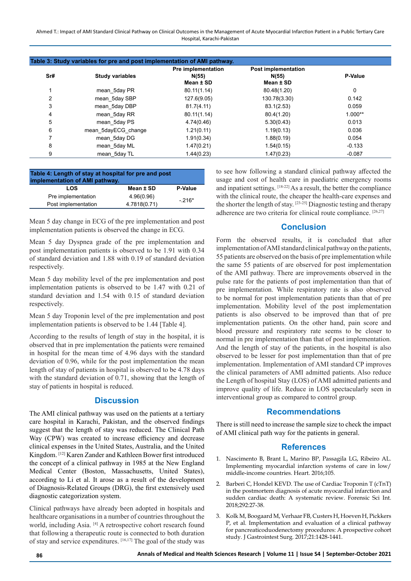Ahmed T.: Impact of AMI Standard Clinical Pathway on Clinical Outcomes in the Management of Acute Myocardial Infarction Patient in a Public Tertiary Care Hospital, Karachi-Pakistan

| Table 3: Study variables for pre and post implementation of AMI pathway. |                        |                                                 |                                                  |                |  |
|--------------------------------------------------------------------------|------------------------|-------------------------------------------------|--------------------------------------------------|----------------|--|
| Sr#                                                                      | <b>Study variables</b> | <b>Pre implementation</b><br>N(55)<br>Mean ± SD | <b>Post implementation</b><br>N(55)<br>Mean ± SD | <b>P-Value</b> |  |
|                                                                          | mean 5day PR           | 80.11(1.14)                                     | 80.48(1.20)                                      | 0              |  |
| 2                                                                        | mean 5day SBP          | 127.6(9.05)                                     | 130.78(3.30)                                     | 0.142          |  |
| 3                                                                        | mean 5day DBP          | 81.7(4.11)                                      | 83.1(2.53)                                       | 0.059          |  |
| 4                                                                        | mean 5day RR           | 80.11(1.14)                                     | 80.4(1.20)                                       | 1.000**        |  |
| 5                                                                        | mean 5day PS           | 4.74(0.46)                                      | 5.30(0.43)                                       | 0.013          |  |
| 6                                                                        | mean 5dayECG change    | 1.21(0.11)                                      | 1.19(0.13)                                       | 0.036          |  |
|                                                                          | mean 5day DG           | 1.91(0.34)                                      | 1.88(0.19)                                       | 0.054          |  |
| 8                                                                        | mean 5day ML           | 1.47(0.21)                                      | 1.54(0.15)                                       | $-0.133$       |  |
| 9                                                                        | mean 5day TL           | 1.44(0.23)                                      | 1.47(0.23)                                       | $-0.087$       |  |

| Table 4: Length of stay at hospital for pre and post<br>implementation of AMI pathway. |                |  |  |  |  |
|----------------------------------------------------------------------------------------|----------------|--|--|--|--|
| Mean ± SD                                                                              | <b>P-Value</b> |  |  |  |  |
| 4.96(0.96)                                                                             | $-216*$        |  |  |  |  |
| 4.7818(0.71)                                                                           |                |  |  |  |  |
|                                                                                        |                |  |  |  |  |

Mean 5 day change in ECG of the pre implementation and post implementation patients is observed the change in ECG.

Mean 5 day Dyspnea grade of the pre implementation and post implementation patients is observed to be 1.91 with 0.34 of standard deviation and 1.88 with 0.19 of standard deviation respectively.

Mean 5 day mobility level of the pre implementation and post implementation patients is observed to be 1.47 with 0.21 of standard deviation and 1.54 with 0.15 of standard deviation respectively.

Mean 5 day Troponin level of the pre implementation and post implementation patients is observed to be 1.44 [Table 4].

According to the results of length of stay in the hospital, it is observed that in pre implementation the patients were remained in hospital for the mean time of 4.96 days with the standard deviation of 0.96, while for the post implementation the mean length of stay of patients in hospital is observed to be 4.78 days with the standard deviation of 0.71, showing that the length of stay of patients in hospital is reduced.

## **Discussion**

The AMI clinical pathway was used on the patients at a tertiary care hospital in Karachi, Pakistan, and the observed findings suggest that the length of stay was reduced. The Clinical Path Way (CPW) was created to increase efficiency and decrease clinical expenses in the United States, Australia, and the United Kingdom. [12] Karen Zander and Kathleen Bower first introduced the concept of a clinical pathway in 1985 at the New England Medical Center (Boston, Massachusetts, United States), according to Li et al. It arose as a result of the development of Diagnosis-Related Groups (DRG), the first extensively used diagnostic categorization system.

Clinical pathways have already been adopted in hospitals and healthcare organisations in a number of countries throughout the world, including Asia. [4] A retrospective cohort research found that following a therapeutic route is connected to both duration of stay and service expenditures. [16,17] The goal of the study was to see how following a standard clinical pathway affected the usage and cost of health care in paediatric emergency rooms and inpatient settings. [18-22] As a result, the better the compliance with the clinical route, the cheaper the health-care expenses and the shorter the length of stay. [23-25] Diagnostic testing and therapy adherence are two criteria for clinical route compliance. [26,27]

# **Conclusion**

Form the observed results, it is concluded that after implementation of AMI standard clinical pathway on the patients, 55 patients are observed on the basis of pre implementation while the same 55 patients of are observed for post implementation of the AMI pathway. There are improvements observed in the pulse rate for the patients of post implementation than that of pre implementation. While respiratory rate is also observed to be normal for post implementation patients than that of pre implementation. Mobility level of the post implementation patients is also observed to be improved than that of pre implementation patients. On the other hand, pain score and blood pressure and respiratory rate seems to be closer to normal in pre implementation than that of post implementation. And the length of stay of the patients, in the hospital is also observed to be lesser for post implementation than that of pre implementation. Implementation of AMI standard CP improves the clinical parameters of AMI admitted patients. Also reduce the Length of hospital Stay (LOS) of AMI admitted patients and improve quality of life. Reduce in LOS spectacularly seen in interventional group as compared to control group.

## **Recommendations**

There is still need to increase the sample size to check the impact of AMI clinical path way for the patients in general.

# **References**

- 1. Nascimento B, Brant L, Marino BP, Passagila LG, Ribeiro AL. Implementing myocardial infarction systems of care in low/ middle-income countries. Heart. 2016;105.
- 2. Barberi C, Hondel KEVD. The use of Cardiac Troponin T (cTnT) in the postmortem diagnosis of acute myocardial infarction and sudden cardiac death: A systematic review. Forensic Sci Int. 2018;292:27-38.
- 3. Kolk M, Boogaard M, Verhaar FB, Custers H, Hoeven H, Pickkers P, et al. Implementation and evaluation of a clinical pathway for pancreaticoduodenectomy procedures: A prospective cohort study. J Gastrointest Surg. 2017;21:1428-1441.